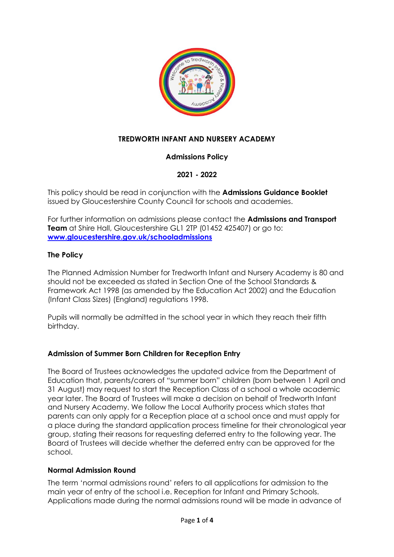

# **TREDWORTH INFANT AND NURSERY ACADEMY**

# **Admissions Policy**

# **2021 - 2022**

This policy should be read in conjunction with the **Admissions Guidance Booklet**  issued by Gloucestershire County Council for schools and academies.

For further information on admissions please contact the **Admissions and Transport Team** at Shire Hall, Gloucestershire GL1 2TP (01452 425407) or go to: **[www.gloucestershire.gov.uk/schooladmissions](http://www.gloucestershire.gov.uk/schooladmissions)**

## **The Policy**

The Planned Admission Number for Tredworth Infant and Nursery Academy is 80 and should not be exceeded as stated in Section One of the School Standards & Framework Act 1998 (as amended by the Education Act 2002) and the Education (Infant Class Sizes) (England) regulations 1998.

Pupils will normally be admitted in the school year in which they reach their fifth birthday.

# **Admission of Summer Born Children for Reception Entry**

The Board of Trustees acknowledges the updated advice from the Department of Education that, parents/carers of "summer born" children (born between 1 April and 31 August) may request to start the Reception Class of a school a whole academic year later. The Board of Trustees will make a decision on behalf of Tredworth Infant and Nursery Academy. We follow the Local Authority process which states that parents can only apply for a Reception place at a school once and must apply for a place during the standard application process timeline for their chronological year group, stating their reasons for requesting deferred entry to the following year. The Board of Trustees will decide whether the deferred entry can be approved for the school.

#### **Normal Admission Round**

The term 'normal admissions round' refers to all applications for admission to the main year of entry of the school i.e. Reception for Infant and Primary Schools. Applications made during the normal admissions round will be made in advance of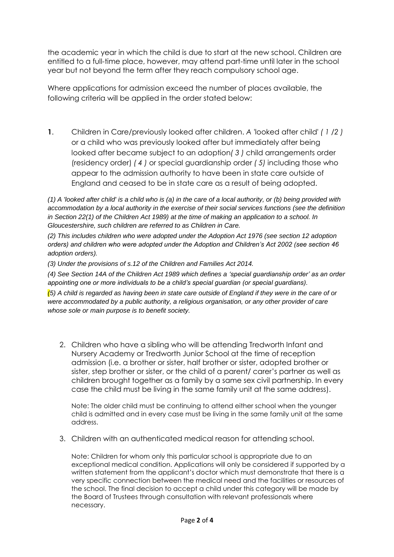the academic year in which the child is due to start at the new school. Children are entitled to a full-time place, however, may attend part-time until later in the school year but not beyond the term after they reach compulsory school age.

Where applications for admission exceed the number of places available, the following criteria will be applied in the order stated below:

**1**. Children in Care/previously looked after children. *A '*looked after child' *( 1 /2 )*  or a child who was previously looked after but immediately after being looked after became subject to an adoption*( 3 )* child arrangements order (residency order) *( 4 )* or special guardianship order *( 5)* including those who appear to the admission authority to have been in state care outside of England and ceased to be in state care as a result of being adopted.

*(1) A 'looked after child' is a child who is (a) in the care of a local authority, or (b) being provided with accommodation by a local authority in the exercise of their social services functions (see the definition in Section 22(1) of the Children Act 1989) at the time of making an application to a school. In Gloucestershire, such children are referred to as Children in Care.* 

*(2) This includes children who were adopted under the Adoption Act 1976 (see section 12 adoption orders) and children who were adopted under the Adoption and Children's Act 2002 (see section 46 adoption orders).* 

*(3) Under the provisions of s.12 of the Children and Families Act 2014.* 

*(4) See Section 14A of the Children Act 1989 which defines a 'special guardianship order' as an order appointing one or more individuals to be a child's special guardian (or special guardians).* 

*(5) A child is regarded as having been in state care outside of England if they were in the care of or were accommodated by a public authority, a religious organisation, or any other provider of care whose sole or main purpose is to benefit society.*

2. Children who have a sibling who will be attending Tredworth Infant and Nursery Academy or Tredworth Junior School at the time of reception admission (i.e. a brother or sister, half brother or sister, adopted brother or sister, step brother or sister, or the child of a parent/ carer's partner as well as children brought together as a family by a same sex civil partnership. In every case the child must be living in the same family unit at the same address).

Note: The older child must be continuing to attend either school when the younger child is admitted and in every case must be living in the same family unit at the same address.

3. Children with an authenticated medical reason for attending school.

Note: Children for whom only this particular school is appropriate due to an exceptional medical condition. Applications will only be considered if supported by a written statement from the applicant's doctor which must demonstrate that there is a very specific connection between the medical need and the facilities or resources of the school. The final decision to accept a child under this category will be made by the Board of Trustees through consultation with relevant professionals where necessary.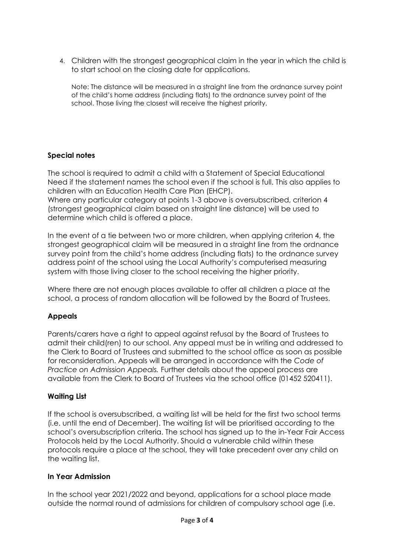4. Children with the strongest geographical claim in the year in which the child is to start school on the closing date for applications.

Note: The distance will be measured in a straight line from the ordnance survey point of the child's home address (including flats) to the ordnance survey point of the school. Those living the closest will receive the highest priority.

## **Special notes**

The school is required to admit a child with a Statement of Special Educational Need if the statement names the school even if the school is full. This also applies to children with an Education Health Care Plan (EHCP).

Where any particular category at points 1-3 above is oversubscribed, criterion 4 (strongest geographical claim based on straight line distance) will be used to determine which child is offered a place.

In the event of a tie between two or more children, when applying criterion 4, the strongest geographical claim will be measured in a straight line from the ordnance survey point from the child's home address (including flats) to the ordnance survey address point of the school using the Local Authority's computerised measuring system with those living closer to the school receiving the higher priority.

Where there are not enough places available to offer all children a place at the school, a process of random allocation will be followed by the Board of Trustees.

# **Appeals**

Parents/carers have a right to appeal against refusal by the Board of Trustees to admit their child(ren) to our school. Any appeal must be in writing and addressed to the Clerk to Board of Trustees and submitted to the school office as soon as possible for reconsideration. Appeals will be arranged in accordance with the *Code of Practice on Admission Appeals.* Further details about the appeal process are available from the Clerk to Board of Trustees via the school office (01452 520411).

#### **Waiting List**

If the school is oversubscribed, a waiting list will be held for the first two school terms (i.e. until the end of December). The waiting list will be prioritised according to the school's oversubscription criteria. The school has signed up to the in-Year Fair Access Protocols held by the Local Authority. Should a vulnerable child within these protocols require a place at the school, they will take precedent over any child on the waiting list.

#### **In Year Admission**

In the school year 2021/2022 and beyond, applications for a school place made outside the normal round of admissions for children of compulsory school age (i.e.